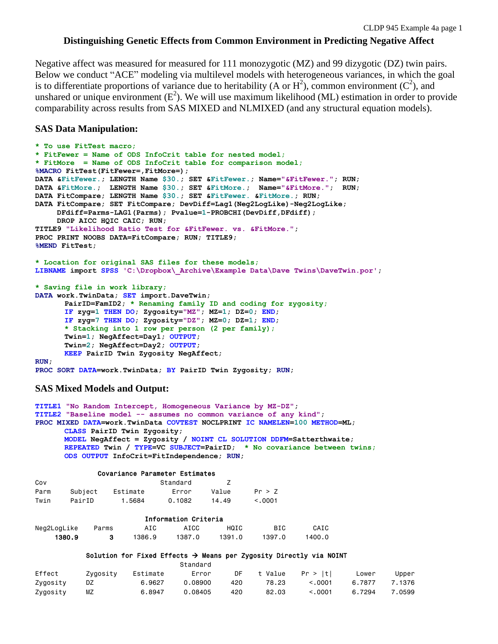# **Distinguishing Genetic Effects from Common Environment in Predicting Negative Affect**

Negative affect was measured for measured for 111 monozygotic (MZ) and 99 dizygotic (DZ) twin pairs. Below we conduct "ACE" modeling via multilevel models with heterogeneous variances, in which the goal is to differentiate proportions of variance due to heritability (A or  $H^2$ ), common environment ( $C^2$ ), and unshared or unique environment  $(E^2)$ . We will use maximum likelihood (ML) estimation in order to provide comparability across results from SAS MIXED and NLMIXED (and any structural equation models).

# **SAS Data Manipulation:**

```
* To use FitTest macro;
* FitFewer = Name of ODS InfoCrit table for nested model;
* FitMore = Name of ODS InfoCrit table for comparison model;
%MACRO FitTest(FitFewer=,FitMore=);
DATA &FitFewer.; LENGTH Name $30.; SET &FitFewer.; Name="&FitFewer."; RUN;
DATA &FitMore.; LENGTH Name $30.; SET &FitMore.; Name="&FitMore."; RUN;
DATA FitCompare; LENGTH Name $30.; SET &FitFewer. &FitMore.; RUN;
DATA FitCompare; SET FitCompare; DevDiff=Lag1(Neg2LogLike)-Neg2LogLike;
     DFdiff=Parms-LAG1(Parms); Pvalue=1-PROBCHI(DevDiff,DFdiff);
     DROP AICC HQIC CAIC; RUN;
TITLE9 "Likelihood Ratio Test for &FitFewer. vs. &FitMore.";
PROC PRINT NOOBS DATA=FitCompare; RUN; TITLE9;
%MEND FitTest;
* Location for original SAS files for these models;
LIBNAME import SPSS 'C:\Dropbox\_Archive\Example Data\Dave Twins\DaveTwin.por';
* Saving file in work library;
DATA work.TwinData; SET import.DaveTwin;
      PairID=FamID2; * Renaming family ID and coding for zygosity;
      IF zyg=1 THEN DO; Zygosity="MZ"; MZ=1; DZ=0; END;
      IF zyg=7 THEN DO; Zygosity="DZ"; MZ=0; DZ=1; END;
      * Stacking into 1 row per person (2 per family);
      Twin=1; NegAffect=Day1; OUTPUT;
      Twin=2; NegAffect=Day2; OUTPUT;
      KEEP PairID Twin Zygosity NegAffect;
RUN;
PROC SORT DATA=work.TwinData; BY PairID Twin Zygosity; RUN;
```
# **SAS Mixed Models and Output:**

```
TITLE1 "No Random Intercept, Homogeneous Variance by MZ-DZ";
TITLE2 "Baseline model -- assumes no common variance of any kind";
PROC MIXED DATA=work.TwinData COVTEST NOCLPRINT IC NAMELEN=100 METHOD=ML;
      CLASS PairID Twin Zygosity;
       MODEL NegAffect = Zygosity / NOINT CL SOLUTION DDFM=Satterthwaite;
      REPEATED Twin / TYPE=VC SUBJECT=PairID; * No covariance between twins;
      ODS OUTPUT InfoCrit=FitIndependence; RUN;
```
### Covariance Parameter Estimates

| Cov  |         |          | Standard |       |              |
|------|---------|----------|----------|-------|--------------|
| Parm | Subject | Estimate | Frror    | Value | Pr > 7       |
| Twin | PairID  | 1.5684   | 0.1082   | 14.49 | $\leq$ .0001 |

|             |       |        | Information Criteria |        |        |        |
|-------------|-------|--------|----------------------|--------|--------|--------|
| Neg2LogLike | Parms | AIC    | AICC                 | HQIC   | BIC    | CAIC   |
| 1380.9      |       | 1386.9 | 1387.0               | 1391.0 | 1397.0 | 1400.0 |

## Solution for Fixed Effects  $\rightarrow$  Means per Zygosity Directly via NOINT

|          |          |          | Standard |     |       |                  |        |        |
|----------|----------|----------|----------|-----|-------|------------------|--------|--------|
| Effect   | Zvaositv | Estimate | Error    | DF  |       | t Value Pr > Itl | Lower  | Upper  |
| Zygosity | DZ       | 6.9627   | 0.08900  | 420 | 78.23 | < 0.001          | 6.7877 | 7.1376 |
| Zygosity | MΖ       | 6.8947   | 0.08405  | 420 | 82.03 | < 0.001          | 6.7294 | 7.0599 |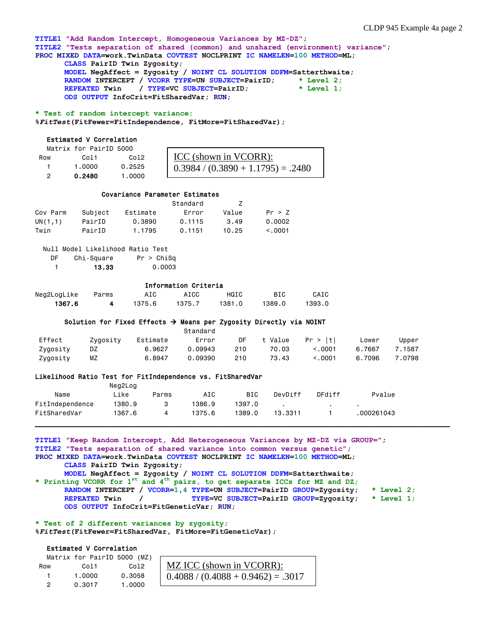**TITLE1 "Add Random Intercept, Homogeneous Variances by MZ-DZ"; TITLE2 "Tests separation of shared (common) and unshared (environment) variance"; PROC MIXED DATA=work.TwinData COVTEST NOCLPRINT IC NAMELEN=100 METHOD=ML; CLASS PairID Twin Zygosity; MODEL NegAffect = Zygosity / NOINT CL SOLUTION DDFM=Satterthwaite;**

 **RANDOM INTERCEPT / VCORR TYPE=UN SUBJECT=PairID; \* Level 2; REPEATED Twin / TYPE=VC SUBJECT=PairID; \* Level 1; ODS OUTPUT InfoCrit=FitSharedVar; RUN;** 

**\* Test of random intercept variance;**

**%***FitTest***(FitFewer=FitIndependence, FitMore=FitSharedVar);**

### Estimated V Correlation

|     | Matrix for PairID 5000 |        |                                                 |
|-----|------------------------|--------|-------------------------------------------------|
| Row | Co 11                  | Co12   | ICC (shown in VCORR):                           |
|     | 1.0000                 | 0.2525 | $\overline{0.3984 / (0.3890 + 1.1795)} = .2480$ |
|     | 0.2480                 | 1.0000 |                                                 |

### Covariance Parameter Estimates

|          |         |          | Standard |       |          |
|----------|---------|----------|----------|-------|----------|
| Cov Parm | Subject | Estimate | Error    | Value | Pr > 7   |
| UN(1,1)  | PairID  | 0.3890   | 0.1115   | 3.49  | 0.0002   |
| Twin     | PairID  | 1.1795   | 0.1151   | 10.25 | < 0.0001 |

| DF | Chi-Square | Pr > Chisq |
|----|------------|------------|
|    | 13.33      | 0.0003     |

## Information Criteria

|             |       |        | THIS HOLLON OF THE TH |             |        |        |  |  |
|-------------|-------|--------|-----------------------|-------------|--------|--------|--|--|
| Neg2LogLike | Parms | AIC    | AICC                  | <b>HOTC</b> | BIC    | CAIC   |  |  |
| 1367.6      |       | 1375.6 | 1375.7                | 1381.0      | 1389.0 | 1393.0 |  |  |

#### Solution for Fixed Effects  $\rightarrow$  Means per Zygosity Directly via NOINT

|          |          |          | Standard |     |         |          |        |        |
|----------|----------|----------|----------|-----|---------|----------|--------|--------|
| Effect   | Zvaositv | Estimate | Error    | DF  | t Value | Pr >  t  | Lower  | Upper  |
| Zvqositv | DZ       | 6.9627   | 0.09943  | 210 | 70.03   | < 0.0001 | 6.7667 | 7.1587 |
| Zygosity | ΜZ       | 6.8947   | 0.09390  | 210 | 73.43   | < 0.001  | 6.7096 | 7.0798 |

#### Likelihood Ratio Test for FitIndependence vs. FitSharedVar

|                 | Neg2Log |       |        |        |         |        |            |
|-----------------|---------|-------|--------|--------|---------|--------|------------|
| Name            | ∟ike    | Parms | AIC    | BIC    | DevDiff | DFdiff | Pvalue     |
| FitIndependence | 1380.9  |       | 1386.9 | 1397.0 |         |        |            |
| FitSharedVar    | 1367.6  | 4     | 1375.6 | 1389.0 | 13.3311 |        | .000261043 |

**TITLE1 "Keep Random Intercept, Add Heterogeneous Variances by MZ-DZ via GROUP="; TITLE2 "Tests separation of shared variance into common versus genetic"; PROC MIXED DATA=work.TwinData COVTEST NOCLPRINT IC NAMELEN=100 METHOD=ML; CLASS PairID Twin Zygosity; MODEL NegAffect = Zygosity / NOINT CL SOLUTION DDFM=Satterthwaite; \* Printing VCORR for 1st and 4th pairs, to get separate ICCs for MZ and DZ;**

 **RANDOM INTERCEPT / VCORR=1,4 TYPE=UN SUBJECT=PairID GROUP=Zygosity; \* Level 2; REPEATED Twin / TYPE=VC SUBJECT=PairID GROUP=Zygosity; \* Level 1; ODS OUTPUT InfoCrit=FitGeneticVar; RUN;** 

.3017

**\* Test of 2 different variances by zygosity; %***FitTest***(FitFewer=FitSharedVar, FitMore=FitGeneticVar);**

## Estimated V Correlation

|     | Matrix for PairID 5000 (MZ) |        |                                    |
|-----|-----------------------------|--------|------------------------------------|
| Row | Co11                        | Co12   | MZ ICC (shown in VCORR):           |
|     | 1.0000                      | 0.3058 | $1$ 0.4088 / (0.4088 + 0.9462) = . |
|     | 0.3017                      | 1.0000 |                                    |
|     |                             |        |                                    |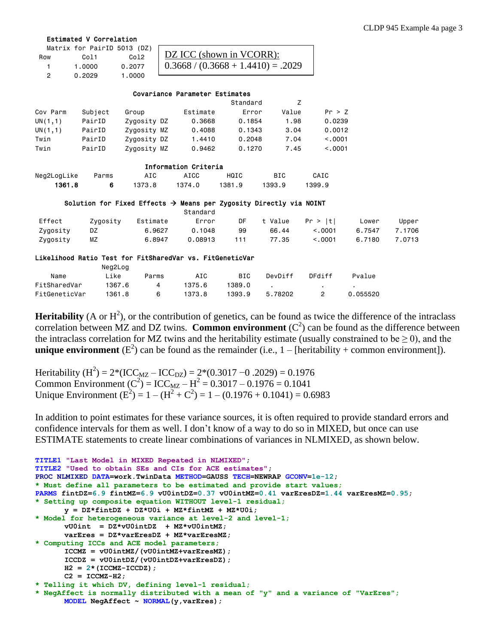### Estimated V Correlation

|     | Matrix for PairID 5013 (DZ) |        |                                      |
|-----|-----------------------------|--------|--------------------------------------|
| Row | C <sub>0</sub> 11           | Co12   | DZ ICC (shown in VCORR):             |
|     | 1.0000                      | 0.2077 | $0.3668 / (0.3668 + 1.4410) = .2029$ |
|     | 0.2029                      | 1.0000 |                                      |
|     |                             |        |                                      |

### Covariance Parameter Estimates

|          |         |             |          | Standard |       |         |
|----------|---------|-------------|----------|----------|-------|---------|
| Cov Parm | Subject | Group       | Estimate | Error    | Value | Pr > Z  |
| UN(1,1)  | PairID  | Zygosity DZ | 0.3668   | 0.1854   | 1.98  | 0.0239  |
| UN(1,1)  | PairID  | Zygosity MZ | 0.4088   | 0.1343   | 3.04  | 0.0012  |
| Twin     | PairID  | Zygosity DZ | 1.4410   | 0.2048   | 7.04  | < 0.001 |
| Twin     | PairID  | Zygosity MZ | 0.9462   | 0.1270   | 7.45  | < 0.001 |

| Information Criteria |       |        |        |        |            |        |  |  |  |
|----------------------|-------|--------|--------|--------|------------|--------|--|--|--|
| Neg2LogLike          | Parms | AIC    | AICC   | HQIC   | <b>BIC</b> | CAIC   |  |  |  |
| 1361.8               | в     | 1373.8 | 1374.0 | 1381.9 | 1393.9     | 1399.9 |  |  |  |

### Solution for Fixed Effects  $\rightarrow$  Means per Zygosity Directly via NOINT

|          |          |          | Standard |     |       |                      |        |        |
|----------|----------|----------|----------|-----|-------|----------------------|--------|--------|
| Effect   | Zygosity | Estimate | Error    | DF  |       | $t$ Value Pr > $ t $ | Lower  | Upper  |
| Zvgosity | DZ       | 6.9627   | 0.1048   | 99  | 66.44 | < 0.001              | 6.7547 | 7.1706 |
| Zygosity | ΜZ       | 6.8947   | 0.08913  | 111 | 77.35 | < 0.001              | 6.7180 | 7.0713 |

### Likelihood Ratio Test for FitSharedVar vs. FitGeneticVar

|               | Neg2Log |       |        |            |         |        |          |
|---------------|---------|-------|--------|------------|---------|--------|----------|
| Name          | Like    | Parms | AIC    | <b>BIC</b> | DevDiff | DFdiff | Pvalue   |
| FitSharedVar  | 1367.6  |       | 1375.6 | 1389.0     |         |        |          |
| FitGeneticVar | 1361.8  | 6     | 1373.8 | 1393.9     | 5.78202 |        | 0.055520 |

**Heritability** (A or  $H^2$ ), or the contribution of genetics, can be found as twice the difference of the intraclass correlation between MZ and DZ twins. **Common environment**  $(C^2)$  can be found as the difference between the intraclass correlation for MZ twins and the heritability estimate (usually constrained to be  $\geq$  0), and the **unique environment** ( $E^2$ ) can be found as the remainder (i.e.,  $1 -$  [heritability + common environment]).

Heritability (H<sup>2</sup>) = 2\*(ICC<sub>MZ</sub> – ICC<sub>DZ</sub>) = 2\*(0.3017 –0.2029) = 0.1976 Common Environment ( $C^2$ ) = ICC<sub>MZ</sub> – H<sup>2</sup> = 0.3017 – 0.1976 = 0.1041 Unique Environment ( $E^2$ ) = 1 – ( $H^2 + C^2$ ) = 1 – (0.1976 + 0.1041) = 0.6983

In addition to point estimates for these variance sources, it is often required to provide standard errors and confidence intervals for them as well. I don't know of a way to do so in MIXED, but once can use ESTIMATE statements to create linear combinations of variances in NLMIXED, as shown below.

```
TITLE1 "Last Model in MIXED Repeated in NLMIXED";
TITLE2 "Used to obtain SEs and CIs for ACE estimates"; 
PROC NLMIXED DATA=work.TwinData METHOD=GAUSS TECH=NEWRAP GCONV=1e-12; 
* Must define all parameters to be estimated and provide start values;
PARMS fintDZ=6.9 fintMZ=6.9 vU0intDZ=0.37 vU0intMZ=0.41 varEresDZ=1.44 varEresMZ=0.95;
* Setting up composite equation WITHOUT level-1 residual;
      y = DZ*fintDZ + DZ*U0i + MZ*fintMZ + MZ*U0i;
* Model for heterogeneous variance at level-2 and level-1;
       vU0int = DZ*vU0intDZ + MZ*vU0intMZ;
      varEres = DZ*varEresDZ + MZ*varEresMZ;
* Computing ICCs and ACE model parameters;
      ICCMZ = vU0intMZ/(vU0intMZ+varEresMZ);
      ICCDZ = vU0intDZ/(vU0intDZ+varEresDZ);
      H2 = 2*(ICCMZ-ICCDZ);
      C2 = ICCMZ-H2;
* Telling it which DV, defining level-1 residual;
* NegAffect is normally distributed with a mean of "y" and a variance of "VarEres";
      MODEL NegAffect ~ NORMAL(y,varEres);
```